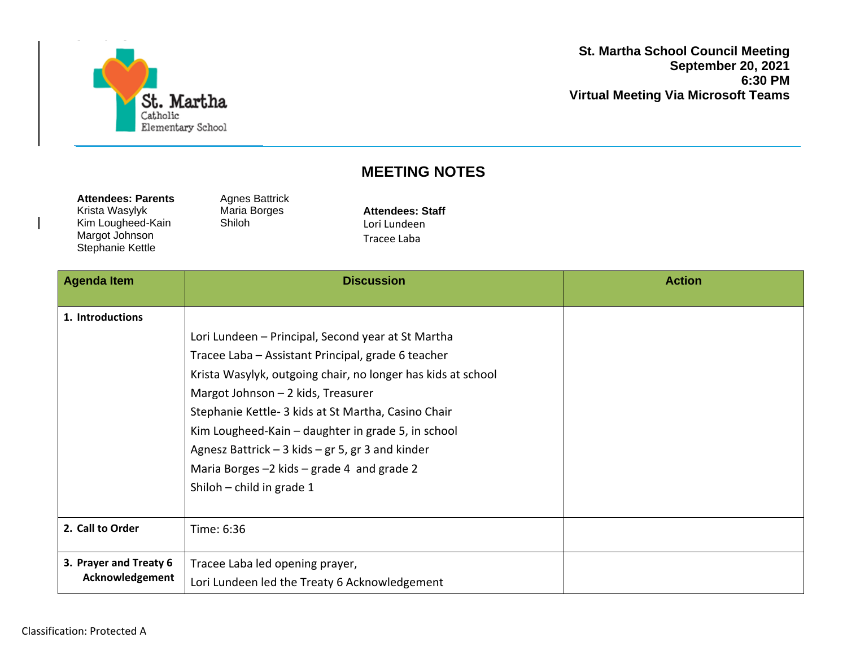

**St. Martha School Council Meeting September 20, 2021 6:30 PM Virtual Meeting Via Microsoft Teams**

## **MEETING NOTES**

| <b>Attendees: Parents</b> |
|---------------------------|
| Krista Wasylyk            |
| Kim Lougheed-Kain         |
| Margot Johnson            |
| Stephanie Kettle          |

Agnes Battrick Maria Borges Shiloh

**Attendees: Staff** Lori Lundeen Tracee Laba

| <b>Agenda Item</b>                        | <b>Discussion</b>                                                                                                                                                                                                                                                                                                                                                                                                                                                | <b>Action</b> |
|-------------------------------------------|------------------------------------------------------------------------------------------------------------------------------------------------------------------------------------------------------------------------------------------------------------------------------------------------------------------------------------------------------------------------------------------------------------------------------------------------------------------|---------------|
| 1. Introductions                          | Lori Lundeen - Principal, Second year at St Martha<br>Tracee Laba - Assistant Principal, grade 6 teacher<br>Krista Wasylyk, outgoing chair, no longer has kids at school<br>Margot Johnson - 2 kids, Treasurer<br>Stephanie Kettle- 3 kids at St Martha, Casino Chair<br>Kim Lougheed-Kain - daughter in grade 5, in school<br>Agnesz Battrick $-$ 3 kids $-$ gr 5, gr 3 and kinder<br>Maria Borges -2 kids - grade 4 and grade 2<br>Shiloh $-$ child in grade 1 |               |
| 2. Call to Order                          | Time: 6:36                                                                                                                                                                                                                                                                                                                                                                                                                                                       |               |
| 3. Prayer and Treaty 6<br>Acknowledgement | Tracee Laba led opening prayer,<br>Lori Lundeen led the Treaty 6 Acknowledgement                                                                                                                                                                                                                                                                                                                                                                                 |               |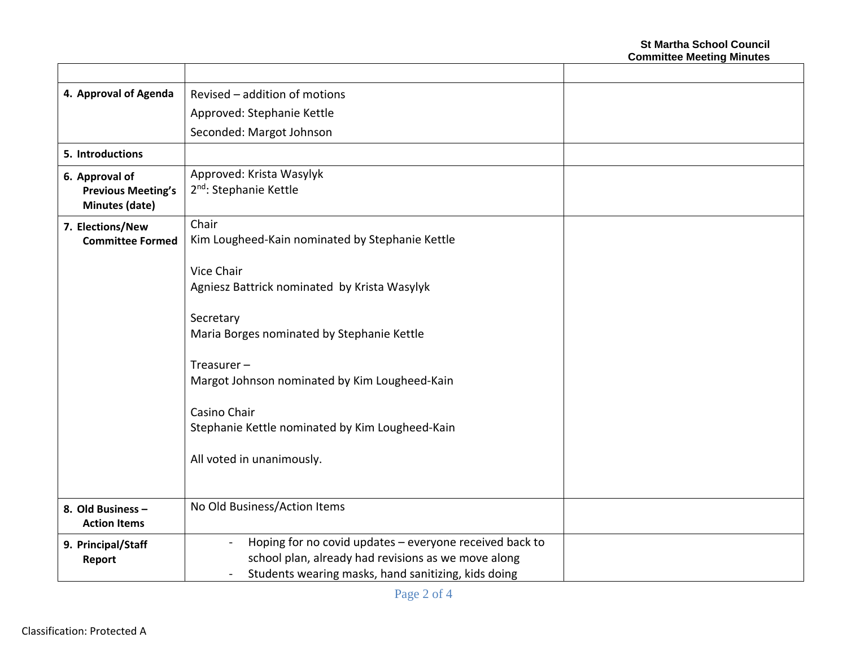| 4. Approval of Agenda                                         | Revised - addition of motions                                                                                                                                                           |  |
|---------------------------------------------------------------|-----------------------------------------------------------------------------------------------------------------------------------------------------------------------------------------|--|
|                                                               | Approved: Stephanie Kettle                                                                                                                                                              |  |
|                                                               | Seconded: Margot Johnson                                                                                                                                                                |  |
| 5. Introductions                                              |                                                                                                                                                                                         |  |
| 6. Approval of<br><b>Previous Meeting's</b><br>Minutes (date) | Approved: Krista Wasylyk<br>2 <sup>nd</sup> : Stephanie Kettle                                                                                                                          |  |
| 7. Elections/New<br><b>Committee Formed</b>                   | Chair<br>Kim Lougheed-Kain nominated by Stephanie Kettle                                                                                                                                |  |
|                                                               | Vice Chair<br>Agniesz Battrick nominated by Krista Wasylyk                                                                                                                              |  |
|                                                               | Secretary<br>Maria Borges nominated by Stephanie Kettle                                                                                                                                 |  |
|                                                               | Treasurer $-$<br>Margot Johnson nominated by Kim Lougheed-Kain                                                                                                                          |  |
|                                                               | Casino Chair<br>Stephanie Kettle nominated by Kim Lougheed-Kain                                                                                                                         |  |
|                                                               | All voted in unanimously.                                                                                                                                                               |  |
| 8. Old Business -<br><b>Action Items</b>                      | No Old Business/Action Items                                                                                                                                                            |  |
| 9. Principal/Staff<br>Report                                  | Hoping for no covid updates - everyone received back to<br>$\blacksquare$<br>school plan, already had revisions as we move along<br>Students wearing masks, hand sanitizing, kids doing |  |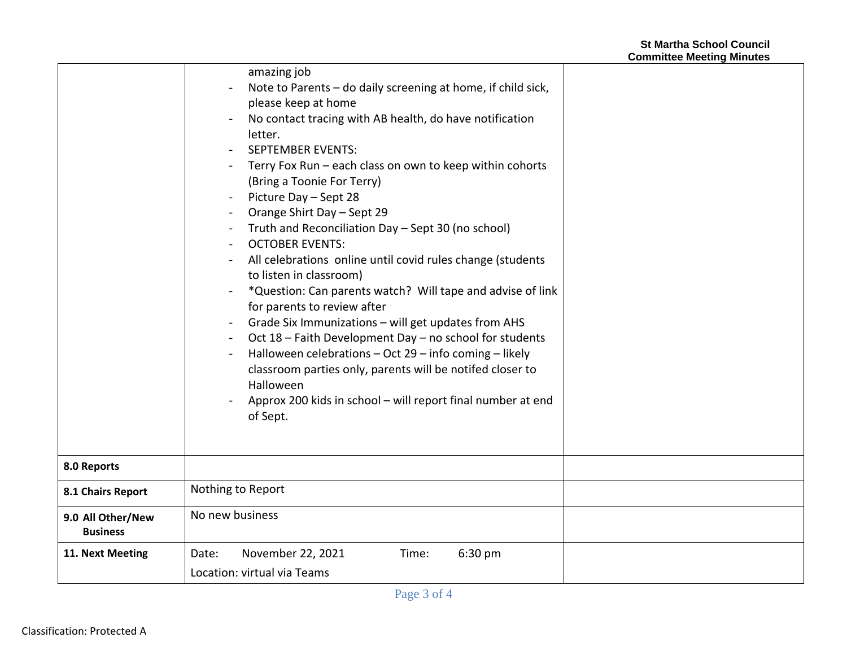|                                      | amazing job<br>Note to Parents - do daily screening at home, if child sick,<br>please keep at home<br>No contact tracing with AB health, do have notification<br>letter.<br><b>SEPTEMBER EVENTS:</b><br>Terry Fox Run - each class on own to keep within cohorts<br>(Bring a Toonie For Terry)<br>Picture Day - Sept 28<br>Orange Shirt Day - Sept 29<br>Truth and Reconciliation Day - Sept 30 (no school)<br><b>OCTOBER EVENTS:</b><br>All celebrations online until covid rules change (students<br>to listen in classroom)<br>*Question: Can parents watch? Will tape and advise of link<br>for parents to review after<br>Grade Six Immunizations - will get updates from AHS<br>$\blacksquare$<br>Oct 18 - Faith Development Day - no school for students<br>Halloween celebrations - Oct 29 - info coming - likely<br>classroom parties only, parents will be notifed closer to<br>Halloween<br>Approx 200 kids in school - will report final number at end<br>of Sept. |
|--------------------------------------|--------------------------------------------------------------------------------------------------------------------------------------------------------------------------------------------------------------------------------------------------------------------------------------------------------------------------------------------------------------------------------------------------------------------------------------------------------------------------------------------------------------------------------------------------------------------------------------------------------------------------------------------------------------------------------------------------------------------------------------------------------------------------------------------------------------------------------------------------------------------------------------------------------------------------------------------------------------------------------|
| 8.0 Reports                          |                                                                                                                                                                                                                                                                                                                                                                                                                                                                                                                                                                                                                                                                                                                                                                                                                                                                                                                                                                                |
| 8.1 Chairs Report                    | Nothing to Report                                                                                                                                                                                                                                                                                                                                                                                                                                                                                                                                                                                                                                                                                                                                                                                                                                                                                                                                                              |
| 9.0 All Other/New<br><b>Business</b> | No new business                                                                                                                                                                                                                                                                                                                                                                                                                                                                                                                                                                                                                                                                                                                                                                                                                                                                                                                                                                |
| 11. Next Meeting                     | November 22, 2021<br>6:30 pm<br>Date:<br>Time:<br>Location: virtual via Teams                                                                                                                                                                                                                                                                                                                                                                                                                                                                                                                                                                                                                                                                                                                                                                                                                                                                                                  |